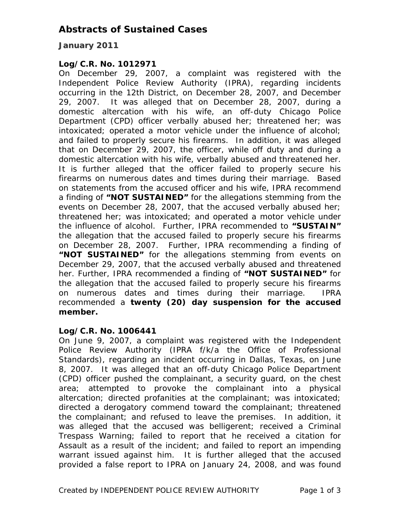## **Abstracts of Sustained Cases**

### **January 2011**

#### *Log/C.R. No. 1012971*

On December 29, 2007, a complaint was registered with the Independent Police Review Authority (IPRA), regarding incidents occurring in the 12th District, on December 28, 2007, and December 29, 2007. It was alleged that on December 28, 2007, during a domestic altercation with his wife, an off-duty Chicago Police Department (CPD) officer verbally abused her; threatened her; was intoxicated; operated a motor vehicle under the influence of alcohol; and failed to properly secure his firearms. In addition, it was alleged that on December 29, 2007, the officer, while off duty and during a domestic altercation with his wife, verbally abused and threatened her. It is further alleged that the officer failed to properly secure his firearms on numerous dates and times during their marriage. Based on statements from the accused officer and his wife, IPRA recommend a finding of **"NOT SUSTAINED"** for the allegations stemming from the events on December 28, 2007, that the accused verbally abused her; threatened her; was intoxicated; and operated a motor vehicle under the influence of alcohol. Further, IPRA recommended to **"SUSTAIN"**  the allegation that the accused failed to properly secure his firearms on December 28, 2007. Further, IPRA recommending a finding of **"NOT SUSTAINED"** for the allegations stemming from events on December 29, 2007, that the accused verbally abused and threatened her. Further, IPRA recommended a finding of **"NOT SUSTAINED"** for the allegation that the accused failed to properly secure his firearms on numerous dates and times during their marriage. IPRA recommended a **twenty (20) day suspension for the accused member.** 

#### *Log/C.R. No. 1006441*

On June 9, 2007, a complaint was registered with the Independent Police Review Authority (IPRA f/k/a the Office of Professional Standards), regarding an incident occurring in Dallas, Texas, on June 8, 2007. It was alleged that an off-duty Chicago Police Department (CPD) officer pushed the complainant, a security guard, on the chest area; attempted to provoke the complainant into a physical altercation; directed profanities at the complainant; was intoxicated; directed a derogatory commend toward the complainant; threatened the complainant; and refused to leave the premises. In addition, it was alleged that the accused was belligerent; received a Criminal Trespass Warning; failed to report that he received a citation for Assault as a result of the incident; and failed to report an impending warrant issued against him. It is further alleged that the accused provided a false report to IPRA on January 24, 2008, and was found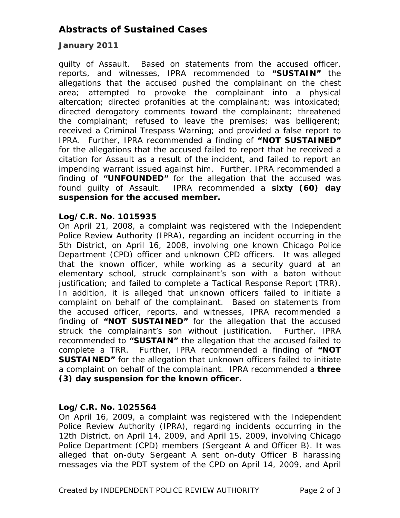# **Abstracts of Sustained Cases**

### **January 2011**

guilty of Assault. Based on statements from the accused officer, reports, and witnesses, IPRA recommended to **"SUSTAIN"** the allegations that the accused pushed the complainant on the chest area; attempted to provoke the complainant into a physical altercation; directed profanities at the complainant; was intoxicated; directed derogatory comments toward the complainant; threatened the complainant; refused to leave the premises; was belligerent; received a Criminal Trespass Warning; and provided a false report to IPRA. Further, IPRA recommended a finding of **"NOT SUSTAINED"**  for the allegations that the accused failed to report that he received a citation for Assault as a result of the incident, and failed to report an impending warrant issued against him. Further, IPRA recommended a finding of **"UNFOUNDED"** for the allegation that the accused was found guilty of Assault. IPRA recommended a **sixty (60) day suspension for the accused member.** 

#### *Log/C.R. No. 1015935*

On April 21, 2008, a complaint was registered with the Independent Police Review Authority (IPRA), regarding an incident occurring in the 5th District, on April 16, 2008, involving one known Chicago Police Department (CPD) officer and unknown CPD officers. It was alleged that the known officer, while working as a security guard at an elementary school, struck complainant's son with a baton without justification; and failed to complete a Tactical Response Report (TRR). In addition, it is alleged that unknown officers failed to initiate a complaint on behalf of the complainant. Based on statements from the accused officer, reports, and witnesses, IPRA recommended a finding of **"NOT SUSTAINED"** for the allegation that the accused struck the complainant's son without justification. Further, IPRA recommended to **"SUSTAIN"** the allegation that the accused failed to complete a TRR. Further, IPRA recommended a finding of **"NOT SUSTAINED"** for the allegation that unknown officers failed to initiate a complaint on behalf of the complainant. IPRA recommended a **three (3) day suspension for the known officer.** 

### *Log/C.R. No. 1025564*

On April 16, 2009, a complaint was registered with the Independent Police Review Authority (IPRA), regarding incidents occurring in the 12th District, on April 14, 2009, and April 15, 2009, involving Chicago Police Department (CPD) members (Sergeant A and Officer B). It was alleged that on-duty Sergeant A sent on-duty Officer B harassing messages via the PDT system of the CPD on April 14, 2009, and April